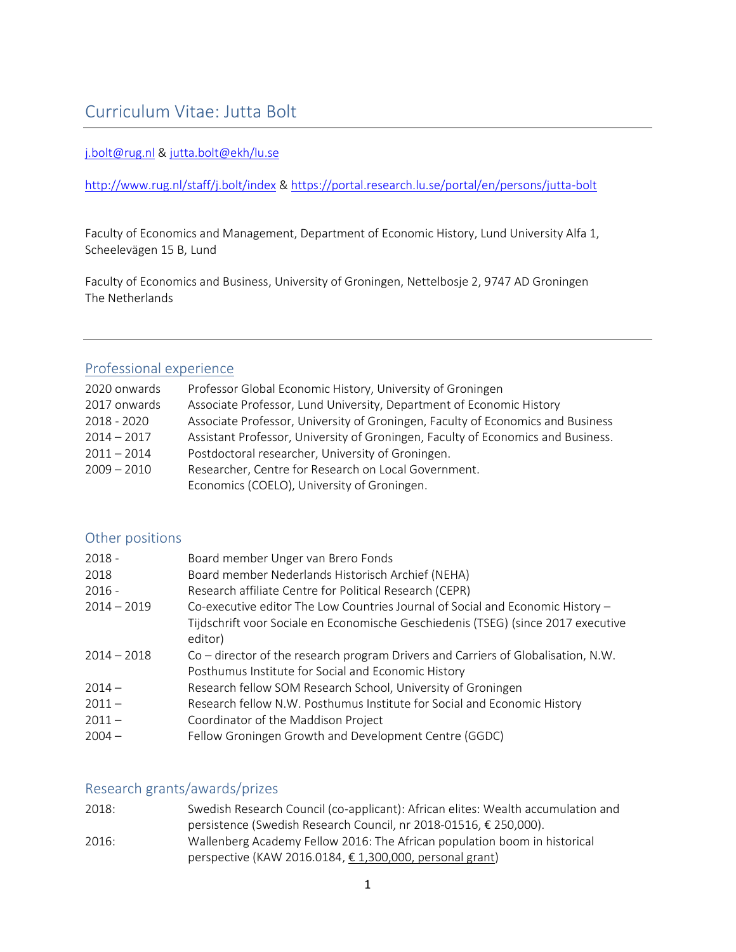# Curriculum Vitae: Jutta Bolt

#### [j.bolt@rug.nl](mailto:j.bolt@rug.nl) & [jutta.bolt@ekh/lu.se](mailto:jutta.bolt@ekh/lu.se)

### <http://www.rug.nl/staff/j.bolt/index> &<https://portal.research.lu.se/portal/en/persons/jutta-bolt>

Faculty of Economics and Management, Department of Economic History, Lund University Alfa 1, Scheelevägen 15 B, Lund

Faculty of Economics and Business, University of Groningen, Nettelbosje 2, 9747 AD Groningen The Netherlands

# Professional experience

| 2020 onwards  | Professor Global Economic History, University of Groningen                       |
|---------------|----------------------------------------------------------------------------------|
| 2017 onwards  | Associate Professor, Lund University, Department of Economic History             |
| 2018 - 2020   | Associate Professor, University of Groningen, Faculty of Economics and Business  |
| $2014 - 2017$ | Assistant Professor, University of Groningen, Faculty of Economics and Business. |
| $2011 - 2014$ | Postdoctoral researcher, University of Groningen.                                |
| $2009 - 2010$ | Researcher, Centre for Research on Local Government.                             |
|               | Economics (COELO), University of Groningen.                                      |

# Other positions

| $2018 -$      | Board member Unger van Brero Fonds                                                           |
|---------------|----------------------------------------------------------------------------------------------|
| 2018          | Board member Nederlands Historisch Archief (NEHA)                                            |
| $2016 -$      | Research affiliate Centre for Political Research (CEPR)                                      |
| $2014 - 2019$ | Co-executive editor The Low Countries Journal of Social and Economic History -               |
|               | Tijdschrift voor Sociale en Economische Geschiedenis (TSEG) (since 2017 executive<br>editor) |
| $2014 - 2018$ | Co – director of the research program Drivers and Carriers of Globalisation, N.W.            |
|               | Posthumus Institute for Social and Economic History                                          |
| $2014 -$      | Research fellow SOM Research School, University of Groningen                                 |
| $2011 -$      | Research fellow N.W. Posthumus Institute for Social and Economic History                     |
| $2011 -$      | Coordinator of the Maddison Project                                                          |
| $2004 -$      | Fellow Groningen Growth and Development Centre (GGDC)                                        |

# Research grants/awards/prizes

| 2018: | Swedish Research Council (co-applicant): African elites: Wealth accumulation and |
|-------|----------------------------------------------------------------------------------|
|       | persistence (Swedish Research Council, nr 2018-01516, € 250,000).                |
| 2016: | Wallenberg Academy Fellow 2016: The African population boom in historical        |
|       | perspective (KAW 2016.0184, € 1,300,000, personal grant)                         |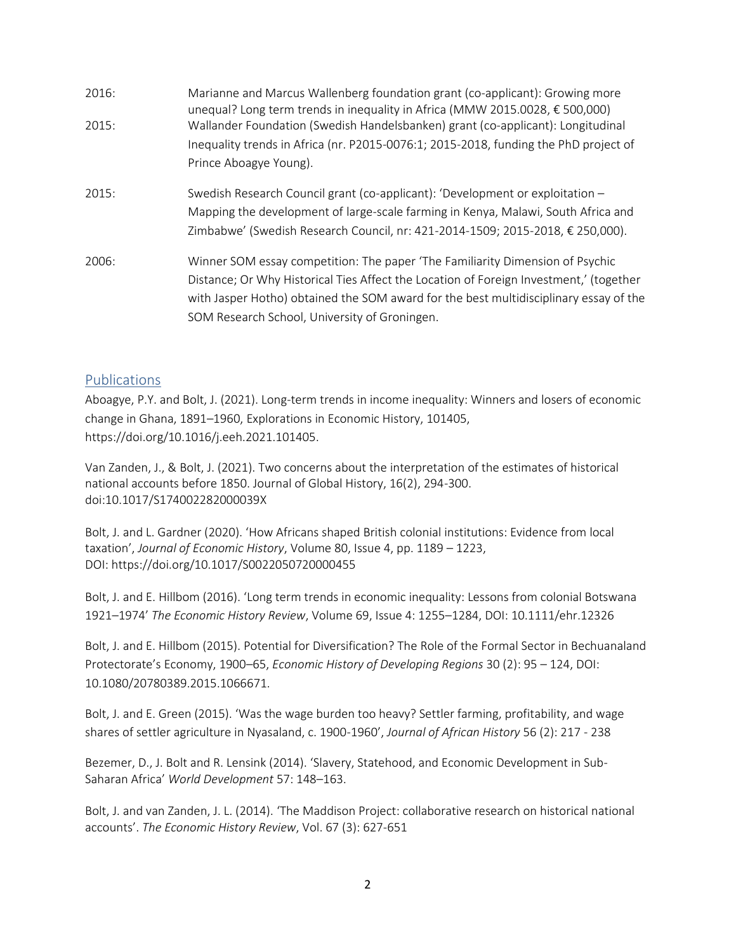| 2016: | Marianne and Marcus Wallenberg foundation grant (co-applicant): Growing more<br>unequal? Long term trends in inequality in Africa (MMW 2015.0028, $\epsilon$ 500,000) |
|-------|-----------------------------------------------------------------------------------------------------------------------------------------------------------------------|
| 2015: | Wallander Foundation (Swedish Handelsbanken) grant (co-applicant): Longitudinal                                                                                       |
|       | Inequality trends in Africa (nr. P2015-0076:1; 2015-2018, funding the PhD project of                                                                                  |
|       | Prince Aboagye Young).                                                                                                                                                |
| 2015: | Swedish Research Council grant (co-applicant): 'Development or exploitation -                                                                                         |
|       | Mapping the development of large-scale farming in Kenya, Malawi, South Africa and                                                                                     |
|       | Zimbabwe' (Swedish Research Council, nr: 421-2014-1509; 2015-2018, € 250,000).                                                                                        |
| 2006: | Winner SOM essay competition: The paper 'The Familiarity Dimension of Psychic                                                                                         |
|       | Distance; Or Why Historical Ties Affect the Location of Foreign Investment,' (together                                                                                |
|       | with Jasper Hotho) obtained the SOM award for the best multidisciplinary essay of the                                                                                 |
|       | SOM Research School, University of Groningen.                                                                                                                         |

### Publications

Aboagye, P.Y. and Bolt, J. (2021). Long-term trends in income inequality: Winners and losers of economic change in Ghana, 1891–1960, Explorations in Economic History, 101405, https://doi.org/10.1016/j.eeh.2021.101405.

Van Zanden, J., & Bolt, J. (2021). Two concerns about the interpretation of the estimates of historical national accounts before 1850. Journal of Global History, 16(2), 294-300. doi:10.1017/S174002282000039X

Bolt, J. and L. Gardner (2020). 'How Africans shaped British colonial institutions: Evidence from local taxation', *Journal of Economic History*, Volume 80, Issue 4, pp. 1189 – 1223, DOI: https://doi.org/10.1017/S0022050720000455

Bolt, J. and E. Hillbom (2016). 'Long term trends in economic inequality: Lessons from colonial Botswana 1921–1974' *The Economic History Review*, Volume 69, Issue 4: 1255–1284, DOI: 10.1111/ehr.12326

Bolt, J. and E. Hillbom (2015). Potential for Diversification? The Role of the Formal Sector in Bechuanaland Protectorate's Economy, 1900–65, *Economic History of Developing Regions* 30 (2): 95 – 124, DOI: 10.1080/20780389.2015.1066671.

Bolt, J. and E. Green (2015). 'Was the wage burden too heavy? Settler farming, profitability, and wage shares of settler agriculture in Nyasaland, c. 1900-1960', *Journal of African History* 56 (2): 217 - 238

Bezemer, D., J. Bolt and R. Lensink (2014). 'Slavery, Statehood, and Economic Development in Sub-Saharan Africa' *World Development* 57: 148–163.

Bolt, J. and van Zanden, J. L. (2014). 'The Maddison Project: collaborative research on historical national accounts'. *The Economic History Review*, Vol. 67 (3): 627-651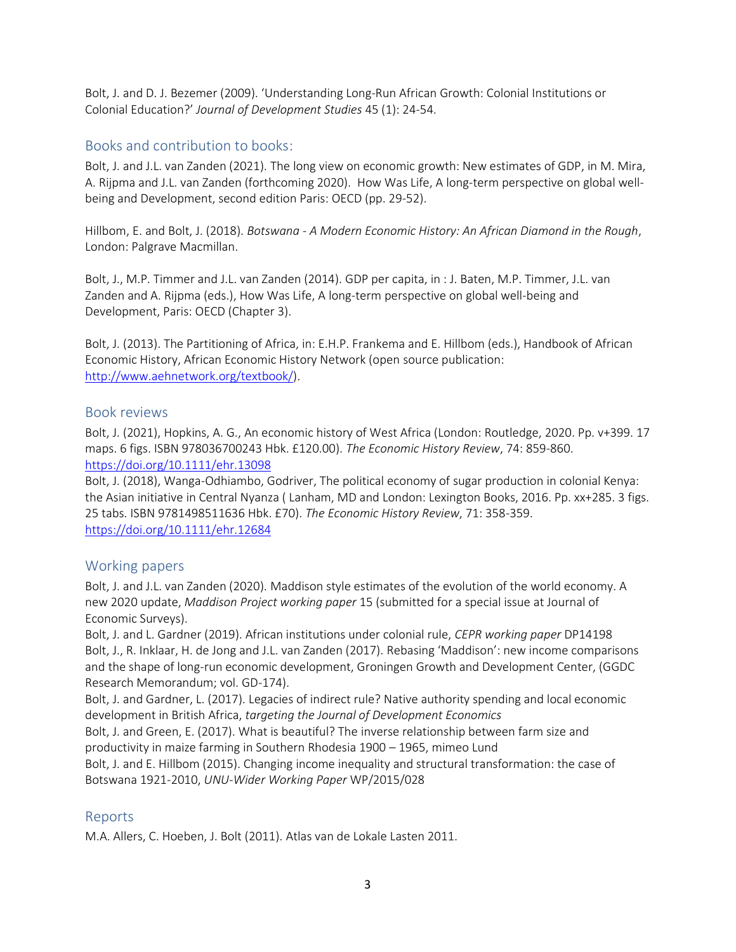Bolt, J. and D. J. Bezemer (2009). 'Understanding Long‐Run African Growth: Colonial Institutions or Colonial Education?' *Journal of Development Studies* 45 (1): 24‐54.

# Books and contribution to books:

Bolt, J. and J.L. van Zanden (2021). The long view on economic growth: New estimates of GDP, in M. Mira, A. Rijpma and J.L. van Zanden (forthcoming 2020). How Was Life, A long-term perspective on global wellbeing and Development, second edition Paris: OECD (pp. 29-52).

Hillbom, E. and Bolt, J. (2018). *Botswana - A Modern Economic History: An African Diamond in the Rough*, London: Palgrave Macmillan.

Bolt, J., M.P. Timmer and J.L. van Zanden (2014). GDP per capita, in : J. Baten, M.P. Timmer, J.L. van Zanden and A. Rijpma (eds.), How Was Life, A long-term perspective on global well-being and Development, Paris: OECD (Chapter 3).

Bolt, J. (2013). The Partitioning of Africa, in: E.H.P. Frankema and E. Hillbom (eds.), Handbook of African Economic History, African Economic History Network (open source publication: [http://www.aehnetwork.org/textbook/\)](http://www.aehnetwork.org/textbook/).

### Book reviews

Bolt, J. (2021), Hopkins, A. G., An economic history of West Africa (London: Routledge, 2020. Pp. v+399. 17 maps. 6 figs. ISBN 978036700243 Hbk. £120.00). *The Economic History Review*, 74: 859-860. <https://doi.org/10.1111/ehr.13098>

Bolt, J. (2018), Wanga-Odhiambo, Godriver, The political economy of sugar production in colonial Kenya: the Asian initiative in Central Nyanza ( Lanham, MD and London: Lexington Books, 2016. Pp. xx+285. 3 figs. 25 tabs. ISBN 9781498511636 Hbk. £70). *The Economic History Review*, 71: 358-359. <https://doi.org/10.1111/ehr.12684>

# Working papers

Bolt, J. and J.L. van Zanden (2020). Maddison style estimates of the evolution of the world economy. A new 2020 update, *Maddison Project working paper* 15 (submitted for a special issue at Journal of Economic Surveys).

Bolt, J. and L. Gardner (2019). African institutions under colonial rule, *CEPR working paper* DP14198 Bolt, J., R. Inklaar, H. de Jong and J.L. van Zanden (2017). Rebasing 'Maddison': new income comparisons and the shape of long-run economic development, Groningen Growth and Development Center, (GGDC Research Memorandum; vol. GD-174).

Bolt, J. and Gardner, L. (2017). Legacies of indirect rule? Native authority spending and local economic development in British Africa, *targeting the Journal of Development Economics*

Bolt, J. and Green, E. (2017). What is beautiful? The inverse relationship between farm size and productivity in maize farming in Southern Rhodesia 1900 – 1965, mimeo Lund

Bolt, J. and E. Hillbom (2015). Changing income inequality and structural transformation: the case of Botswana 1921-2010, *UNU-Wider Working Paper* WP/2015/028

# Reports

M.A. Allers, C. Hoeben, J. Bolt (2011). Atlas van de Lokale Lasten 2011.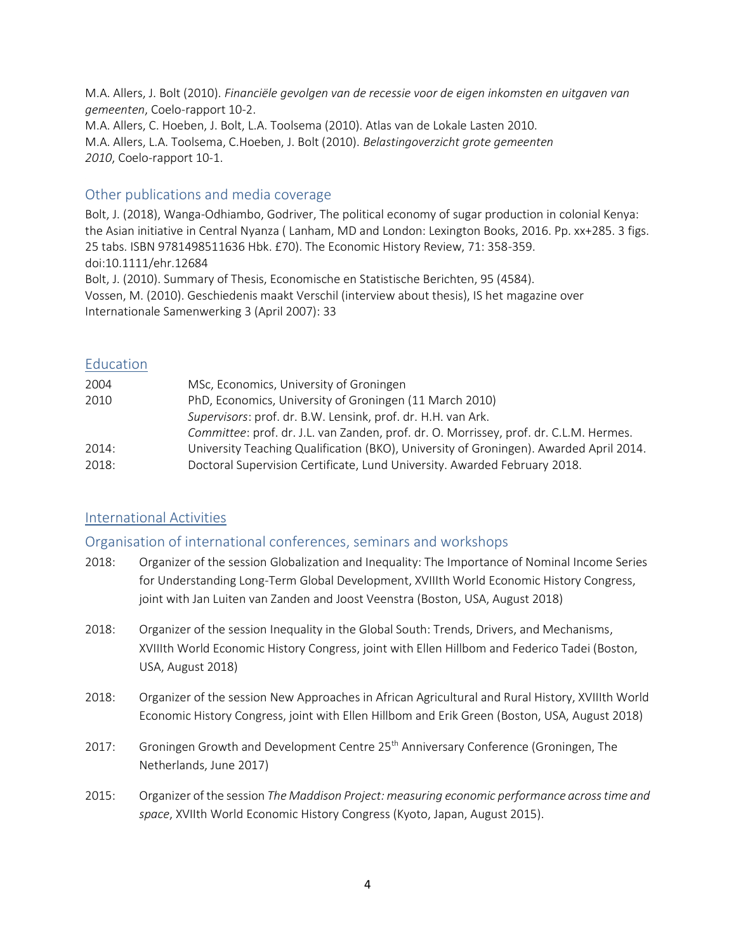M.A. Allers, J. Bolt (2010). *Financiële gevolgen van de recessie voor de eigen inkomsten en uitgaven van gemeenten*, Coelo‐rapport 10‐2. M.A. Allers, C. Hoeben, J. Bolt, L.A. Toolsema (2010). Atlas van de Lokale Lasten 2010. M.A. Allers, L.A. Toolsema, C.Hoeben, J. Bolt (2010). *Belastingoverzicht grote gemeenten 2010*, Coelo‐rapport 10‐1.

## Other publications and media coverage

Bolt, J. (2018), Wanga‐Odhiambo, Godriver, The political economy of sugar production in colonial Kenya: the Asian initiative in Central Nyanza ( Lanham, MD and London: Lexington Books, 2016. Pp. xx+285. 3 figs. 25 tabs. ISBN 9781498511636 Hbk. £70). The Economic History Review, 71: 358-359. doi:10.1111/ehr.12684 Bolt, J. (2010). Summary of Thesis, Economische en Statistische Berichten, 95 (4584). Vossen, M. (2010). Geschiedenis maakt Verschil (interview about thesis), IS het magazine over Internationale Samenwerking 3 (April 2007): 33

### Education

| 2004  | MSc, Economics, University of Groningen                                                |
|-------|----------------------------------------------------------------------------------------|
| 2010  | PhD, Economics, University of Groningen (11 March 2010)                                |
|       | Supervisors: prof. dr. B.W. Lensink, prof. dr. H.H. van Ark.                           |
|       | Committee: prof. dr. J.L. van Zanden, prof. dr. O. Morrissey, prof. dr. C.L.M. Hermes. |
| 2014: | University Teaching Qualification (BKO), University of Groningen). Awarded April 2014. |
| 2018: | Doctoral Supervision Certificate, Lund University. Awarded February 2018.              |

# International Activities

#### Organisation of international conferences, seminars and workshops

- 2018: Organizer of the session Globalization and Inequality: The Importance of Nominal Income Series for Understanding Long-Term Global Development, XVIIIth World Economic History Congress, joint with Jan Luiten van Zanden and Joost Veenstra (Boston, USA, August 2018)
- 2018: Organizer of the session Inequality in the Global South: Trends, Drivers, and Mechanisms, XVIIIth World Economic History Congress, joint with Ellen Hillbom and Federico Tadei (Boston, USA, August 2018)
- 2018: Organizer of the session New Approaches in African Agricultural and Rural History, XVIIIth World Economic History Congress, joint with Ellen Hillbom and Erik Green (Boston, USA, August 2018)
- 2017: Groningen Growth and Development Centre 25<sup>th</sup> Anniversary Conference (Groningen, The Netherlands, June 2017)
- 2015: Organizer of the session *The Maddison Project: measuring economic performance across time and space*, XVIIth World Economic History Congress (Kyoto, Japan, August 2015).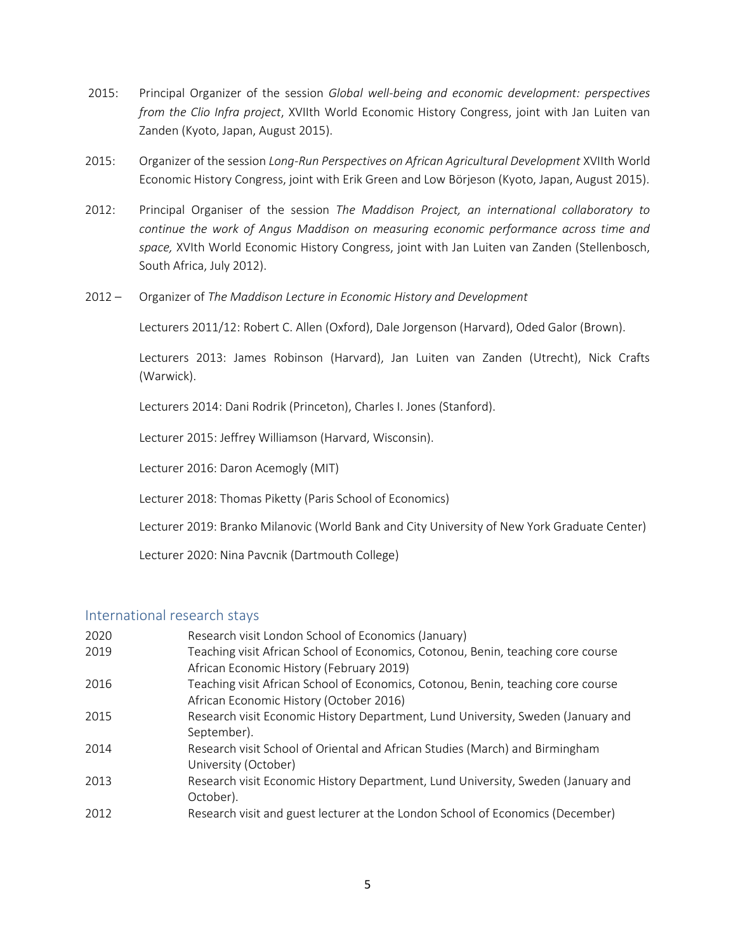- 2015: Principal Organizer of the session *Global well-being and economic development: perspectives from the Clio Infra project*, XVIIth World Economic History Congress, joint with Jan Luiten van Zanden (Kyoto, Japan, August 2015).
- 2015: Organizer of the session *Long-Run Perspectives on African Agricultural Development* XVIIth World Economic History Congress, joint with Erik Green and Low Börjeson (Kyoto, Japan, August 2015).
- 2012: Principal Organiser of the session *The Maddison Project, an international collaboratory to continue the work of Angus Maddison on measuring economic performance across time and space,* XVIth World Economic History Congress, joint with Jan Luiten van Zanden (Stellenbosch, South Africa, July 2012).
- 2012 Organizer of *The Maddison Lecture in Economic History and Development*

Lecturers 2011/12: Robert C. Allen (Oxford), Dale Jorgenson (Harvard), Oded Galor (Brown).

Lecturers 2013: James Robinson (Harvard), Jan Luiten van Zanden (Utrecht), Nick Crafts (Warwick).

Lecturers 2014: Dani Rodrik (Princeton), Charles I. Jones (Stanford).

Lecturer 2015: Jeffrey Williamson (Harvard, Wisconsin).

Lecturer 2016: Daron Acemogly (MIT)

Lecturer 2018: Thomas Piketty (Paris School of Economics)

Lecturer 2019: Branko Milanovic (World Bank and City University of New York Graduate Center)

Lecturer 2020: Nina Pavcnik (Dartmouth College)

#### International research stays

| 2020 | Research visit London School of Economics (January)                                                                          |
|------|------------------------------------------------------------------------------------------------------------------------------|
| 2019 | Teaching visit African School of Economics, Cotonou, Benin, teaching core course<br>African Economic History (February 2019) |
| 2016 | Teaching visit African School of Economics, Cotonou, Benin, teaching core course<br>African Economic History (October 2016)  |
| 2015 | Research visit Economic History Department, Lund University, Sweden (January and<br>September).                              |
| 2014 | Research visit School of Oriental and African Studies (March) and Birmingham<br>University (October)                         |
| 2013 | Research visit Economic History Department, Lund University, Sweden (January and<br>October).                                |
| 2012 | Research visit and guest lecturer at the London School of Economics (December)                                               |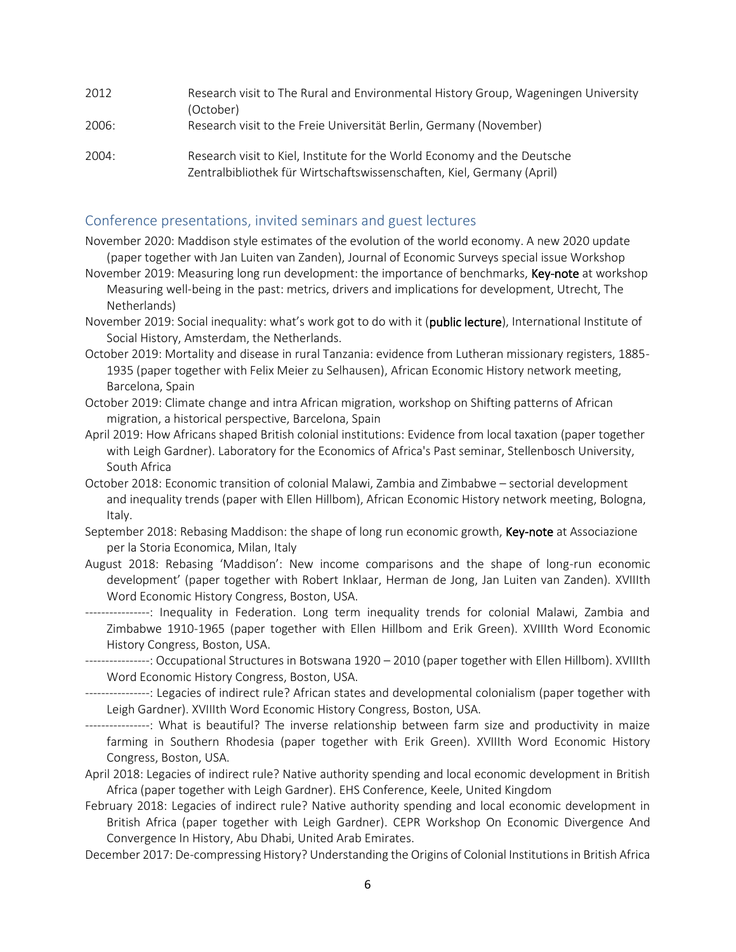| 2012  | Research visit to The Rural and Environmental History Group, Wageningen University<br>(October)                                                    |
|-------|----------------------------------------------------------------------------------------------------------------------------------------------------|
| 2006: | Research visit to the Freie Universität Berlin, Germany (November)                                                                                 |
| 2004: | Research visit to Kiel, Institute for the World Economy and the Deutsche<br>Zentralbibliothek für Wirtschaftswissenschaften, Kiel, Germany (April) |

#### Conference presentations, invited seminars and guest lectures

- November 2020: Maddison style estimates of the evolution of the world economy. A new 2020 update (paper together with Jan Luiten van Zanden), Journal of Economic Surveys special issue Workshop
- November 2019: Measuring long run development: the importance of benchmarks, Key-note at workshop Measuring well-being in the past: metrics, drivers and implications for development, Utrecht, The Netherlands)
- November 2019: Social inequality: what's work got to do with it (public lecture), International Institute of Social History, Amsterdam, the Netherlands.
- October 2019: Mortality and disease in rural Tanzania: evidence from Lutheran missionary registers, 1885- 1935 (paper together with Felix Meier zu Selhausen), African Economic History network meeting, Barcelona, Spain
- October 2019: Climate change and intra African migration, workshop on Shifting patterns of African migration, a historical perspective, Barcelona, Spain
- April 2019:How Africans shaped British colonial institutions: Evidence from local taxation (paper together with Leigh Gardner). Laboratory for the Economics of Africa's Past seminar, Stellenbosch University, South Africa
- October 2018: Economic transition of colonial Malawi, Zambia and Zimbabwe sectorial development and inequality trends (paper with Ellen Hillbom), African Economic History network meeting, Bologna, Italy.
- September 2018: Rebasing Maddison: the shape of long run economic growth, Key-note at Associazione per la Storia Economica, Milan, Italy
- August 2018: Rebasing 'Maddison': New income comparisons and the shape of long-run economic development' (paper together with Robert Inklaar, Herman de Jong, Jan Luiten van Zanden). XVIIIth Word Economic History Congress, Boston, USA.
- ----------------: Inequality in Federation. Long term inequality trends for colonial Malawi, Zambia and Zimbabwe 1910-1965 (paper together with Ellen Hillbom and Erik Green). XVIIIth Word Economic History Congress, Boston, USA.
- ----------------: Occupational Structures in Botswana 1920 2010 (paper together with Ellen Hillbom). XVIIIth Word Economic History Congress, Boston, USA.
- ----------------: Legacies of indirect rule? African states and developmental colonialism (paper together with Leigh Gardner). XVIIIth Word Economic History Congress, Boston, USA.
- ----------------: What is beautiful? The inverse relationship between farm size and productivity in maize farming in Southern Rhodesia (paper together with Erik Green). XVIIIth Word Economic History Congress, Boston, USA.
- April 2018: Legacies of indirect rule? Native authority spending and local economic development in British Africa (paper together with Leigh Gardner). EHS Conference, Keele, United Kingdom
- February 2018: Legacies of indirect rule? Native authority spending and local economic development in British Africa (paper together with Leigh Gardner). CEPR Workshop On Economic Divergence And Convergence In History, Abu Dhabi, United Arab Emirates.
- December 2017: De-compressing History? Understanding the Origins of Colonial Institutions in British Africa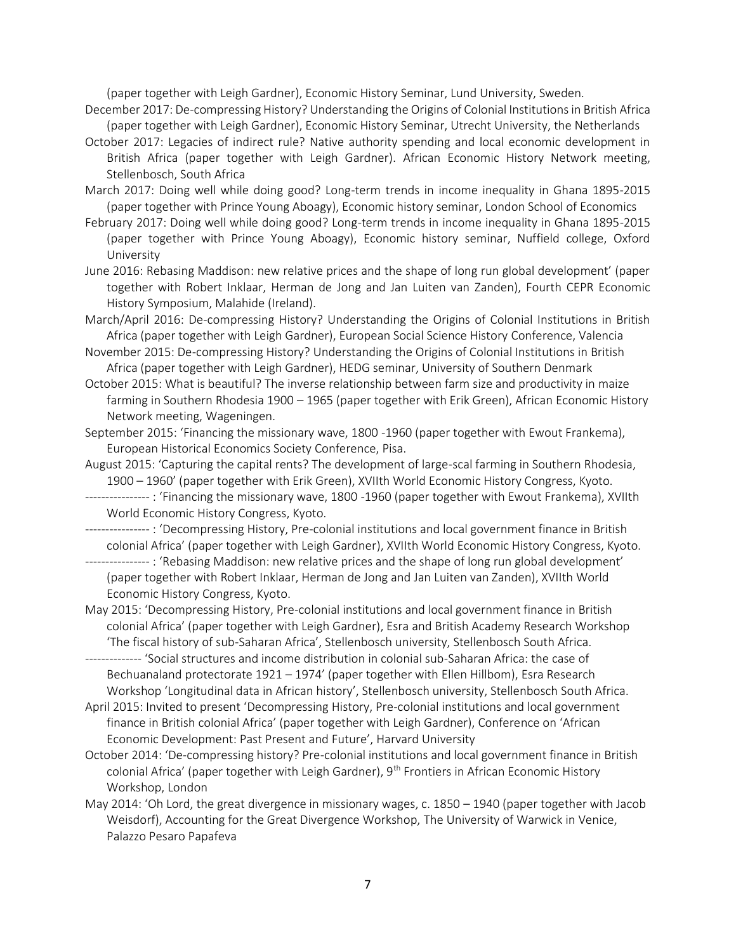(paper together with Leigh Gardner), Economic History Seminar, Lund University, Sweden.

- December 2017: De-compressing History? Understanding the Origins of Colonial Institutions in British Africa (paper together with Leigh Gardner), Economic History Seminar, Utrecht University, the Netherlands
- October 2017: Legacies of indirect rule? Native authority spending and local economic development in British Africa (paper together with Leigh Gardner). African Economic History Network meeting, Stellenbosch, South Africa
- March 2017: Doing well while doing good? Long-term trends in income inequality in Ghana 1895-2015 (paper together with Prince Young Aboagy), Economic history seminar, London School of Economics
- February 2017: Doing well while doing good? Long-term trends in income inequality in Ghana 1895-2015 (paper together with Prince Young Aboagy), Economic history seminar, Nuffield college, Oxford University
- June 2016: Rebasing Maddison: new relative prices and the shape of long run global development' (paper together with Robert Inklaar, Herman de Jong and Jan Luiten van Zanden), Fourth CEPR Economic History Symposium, Malahide (Ireland).
- March/April 2016: De-compressing History? Understanding the Origins of Colonial Institutions in British Africa (paper together with Leigh Gardner), European Social Science History Conference, Valencia
- November 2015: De-compressing History? Understanding the Origins of Colonial Institutions in British Africa (paper together with Leigh Gardner), HEDG seminar, University of Southern Denmark
- October 2015: What is beautiful? The inverse relationship between farm size and productivity in maize farming in Southern Rhodesia 1900 – 1965 (paper together with Erik Green), African Economic History Network meeting, Wageningen.
- September 2015: 'Financing the missionary wave, 1800 -1960 (paper together with Ewout Frankema), European Historical Economics Society Conference, Pisa.
- August 2015: 'Capturing the capital rents? The development of large-scal farming in Southern Rhodesia, 1900 – 1960' (paper together with Erik Green), XVIIth World Economic History Congress, Kyoto.
- ---------------- : 'Financing the missionary wave, 1800 -1960 (paper together with Ewout Frankema), XVIIth World Economic History Congress, Kyoto.
- ---------------- : 'Decompressing History, Pre-colonial institutions and local government finance in British colonial Africa' (paper together with Leigh Gardner), XVIIth World Economic History Congress, Kyoto.
- ---------------- : 'Rebasing Maddison: new relative prices and the shape of long run global development' (paper together with Robert Inklaar, Herman de Jong and Jan Luiten van Zanden), XVIIth World Economic History Congress, Kyoto.
- May 2015: 'Decompressing History, Pre-colonial institutions and local government finance in British colonial Africa' (paper together with Leigh Gardner), Esra and British Academy Research Workshop 'The fiscal history of sub-Saharan Africa', Stellenbosch university, Stellenbosch South Africa.
- -------------- 'Social structures and income distribution in colonial sub-Saharan Africa: the case of Bechuanaland protectorate 1921 – 1974' (paper together with Ellen Hillbom), Esra Research Workshop 'Longitudinal data in African history', Stellenbosch university, Stellenbosch South Africa.
- April 2015: Invited to present 'Decompressing History, Pre-colonial institutions and local government finance in British colonial Africa' (paper together with Leigh Gardner), Conference on 'African Economic Development: Past Present and Future', Harvard University
- October 2014: 'De-compressing history? Pre-colonial institutions and local government finance in British colonial Africa' (paper together with Leigh Gardner), 9th Frontiers in African Economic History Workshop, London
- May 2014: 'Oh Lord, the great divergence in missionary wages, c. 1850 1940 (paper together with Jacob Weisdorf), Accounting for the Great Divergence Workshop, The University of Warwick in Venice, Palazzo Pesaro Papafeva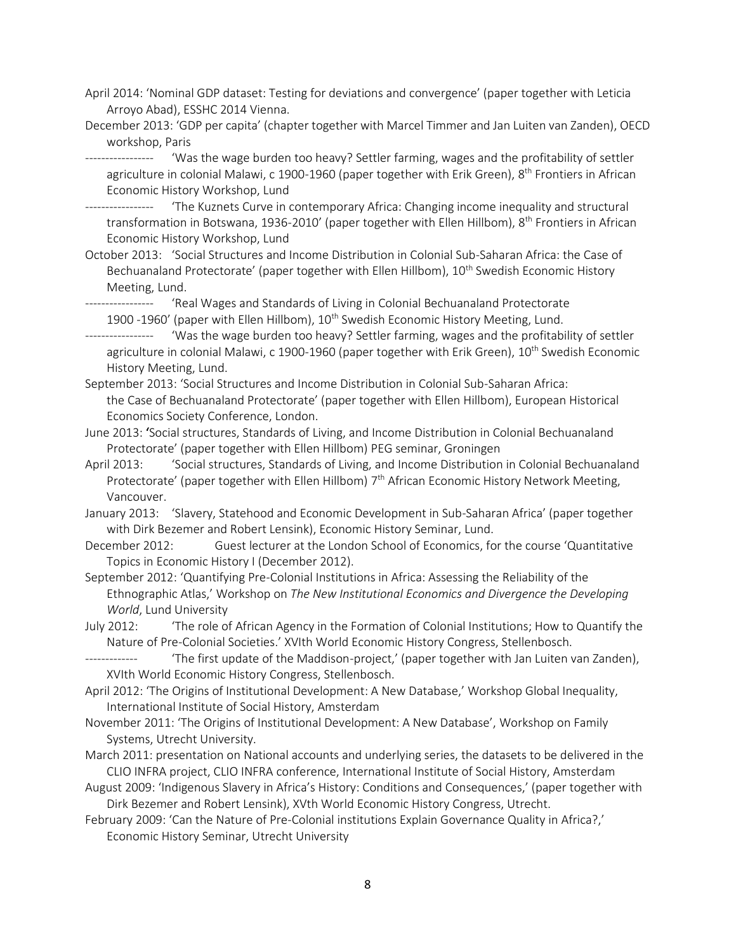- April 2014: 'Nominal GDP dataset: Testing for deviations and convergence' (paper together with Leticia Arroyo Abad), ESSHC 2014 Vienna.
- December 2013: 'GDP per capita' (chapter together with Marcel Timmer and Jan Luiten van Zanden), OECD workshop, Paris

'Was the wage burden too heavy? Settler farming, wages and the profitability of settler agriculture in colonial Malawi, c 1900-1960 (paper together with Erik Green), 8<sup>th</sup> Frontiers in African Economic History Workshop, Lund

----------------- 'The Kuznets Curve in contemporary Africa: Changing income inequality and structural transformation in Botswana, 1936-2010' (paper together with Ellen Hillbom), 8<sup>th</sup> Frontiers in African Economic History Workshop, Lund

October 2013: 'Social Structures and Income Distribution in Colonial Sub-Saharan Africa: the Case of Bechuanaland Protectorate' (paper together with Ellen Hillbom), 10<sup>th</sup> Swedish Economic History Meeting, Lund.

'Real Wages and Standards of Living in Colonial Bechuanaland Protectorate 1900 -1960' (paper with Ellen Hillbom), 10<sup>th</sup> Swedish Economic History Meeting, Lund.

'Was the wage burden too heavy? Settler farming, wages and the profitability of settler agriculture in colonial Malawi, c 1900-1960 (paper together with Erik Green), 10<sup>th</sup> Swedish Economic History Meeting, Lund.

September 2013: 'Social Structures and Income Distribution in Colonial Sub-Saharan Africa: the Case of Bechuanaland Protectorate' (paper together with Ellen Hillbom), European Historical Economics Society Conference, London.

June 2013: 'Social structures, Standards of Living, and Income Distribution in Colonial Bechuanaland Protectorate' (paper together with Ellen Hillbom) PEG seminar, Groningen

April 2013: 'Social structures, Standards of Living, and Income Distribution in Colonial Bechuanaland Protectorate' (paper together with Ellen Hillbom) 7<sup>th</sup> African Economic History Network Meeting, Vancouver.

January 2013: 'Slavery, Statehood and Economic Development in Sub-Saharan Africa' (paper together with Dirk Bezemer and Robert Lensink), Economic History Seminar, Lund.

December 2012: Guest lecturer at the London School of Economics, for the course 'Quantitative Topics in Economic History I (December 2012).

September 2012: 'Quantifying Pre-Colonial Institutions in Africa: Assessing the Reliability of the Ethnographic Atlas,' Workshop on *The New Institutional Economics and Divergence the Developing World*, Lund University

July 2012: 'The role of African Agency in the Formation of Colonial Institutions; How to Quantify the Nature of Pre-Colonial Societies.' XVIth World Economic History Congress, Stellenbosch.

'The first update of the Maddison-project,' (paper together with Jan Luiten van Zanden), XVIth World Economic History Congress, Stellenbosch.

April 2012: 'The Origins of Institutional Development: A New Database,' Workshop Global Inequality, International Institute of Social History, Amsterdam

- November 2011: 'The Origins of Institutional Development: A New Database', Workshop on Family Systems, Utrecht University.
- March 2011: presentation on National accounts and underlying series, the datasets to be delivered in the CLIO INFRA project, CLIO INFRA conference, International Institute of Social History, Amsterdam

August 2009: 'Indigenous Slavery in Africa's History: Conditions and Consequences,' (paper together with Dirk Bezemer and Robert Lensink), XVth World Economic History Congress, Utrecht.

February 2009: 'Can the Nature of Pre‐Colonial institutions Explain Governance Quality in Africa?,' Economic History Seminar, Utrecht University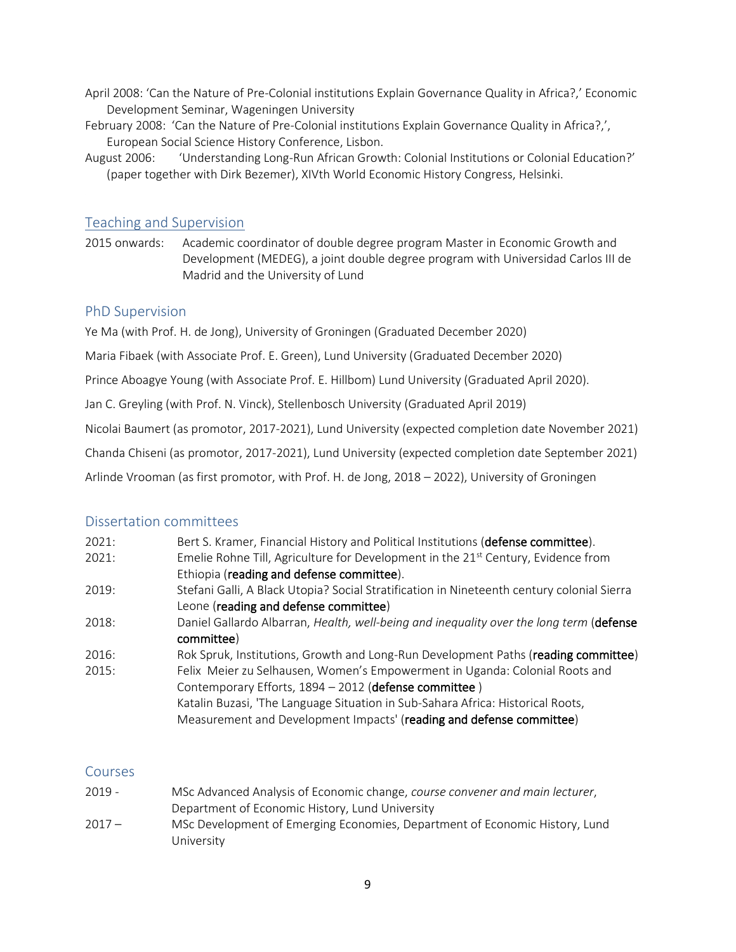- April 2008: 'Can the Nature of Pre‐Colonial institutions Explain Governance Quality in Africa?,' Economic Development Seminar, Wageningen University
- February 2008: 'Can the Nature of Pre-Colonial institutions Explain Governance Quality in Africa?,', European Social Science History Conference, Lisbon.
- August 2006: 'Understanding Long-Run African Growth: Colonial Institutions or Colonial Education?' (paper together with Dirk Bezemer), XIVth World Economic History Congress, Helsinki.

## Teaching and Supervision

2015 onwards: Academic coordinator of double degree program Master in Economic Growth and Development (MEDEG), a joint double degree program with Universidad Carlos III de Madrid and the University of Lund

### PhD Supervision

Ye Ma (with Prof. H. de Jong), University of Groningen (Graduated December 2020)

Maria Fibaek (with Associate Prof. E. Green), Lund University (Graduated December 2020)

Prince Aboagye Young (with Associate Prof. E. Hillbom) Lund University (Graduated April 2020).

Jan C. Greyling (with Prof. N. Vinck), Stellenbosch University (Graduated April 2019)

Nicolai Baumert (as promotor, 2017-2021), Lund University (expected completion date November 2021)

Chanda Chiseni (as promotor, 2017-2021), Lund University (expected completion date September 2021)

Arlinde Vrooman (as first promotor, with Prof. H. de Jong, 2018 – 2022), University of Groningen

#### Dissertation committees

University

| 2021: | Bert S. Kramer, Financial History and Political Institutions (defense committee).             |
|-------|-----------------------------------------------------------------------------------------------|
| 2021: | Emelie Rohne Till, Agriculture for Development in the 21 <sup>st</sup> Century, Evidence from |
|       | Ethiopia (reading and defense committee).                                                     |
| 2019: | Stefani Galli, A Black Utopia? Social Stratification in Nineteenth century colonial Sierra    |
|       | Leone (reading and defense committee)                                                         |
| 2018: | Daniel Gallardo Albarran, Health, well-being and inequality over the long term (defense       |
|       | committee)                                                                                    |
| 2016: | Rok Spruk, Institutions, Growth and Long-Run Development Paths (reading committee)            |
| 2015: | Felix Meier zu Selhausen, Women's Empowerment in Uganda: Colonial Roots and                   |
|       | Contemporary Efforts, 1894 - 2012 (defense committee)                                         |
|       | Katalin Buzasi, 'The Language Situation in Sub-Sahara Africa: Historical Roots,               |
|       | Measurement and Development Impacts' (reading and defense committee)                          |

#### **Courses**

2019 - MSc Advanced Analysis of Economic change, *course convener and main lecturer*, Department of Economic History, Lund University 2017 – MSc Development of Emerging Economies, Department of Economic History, Lund